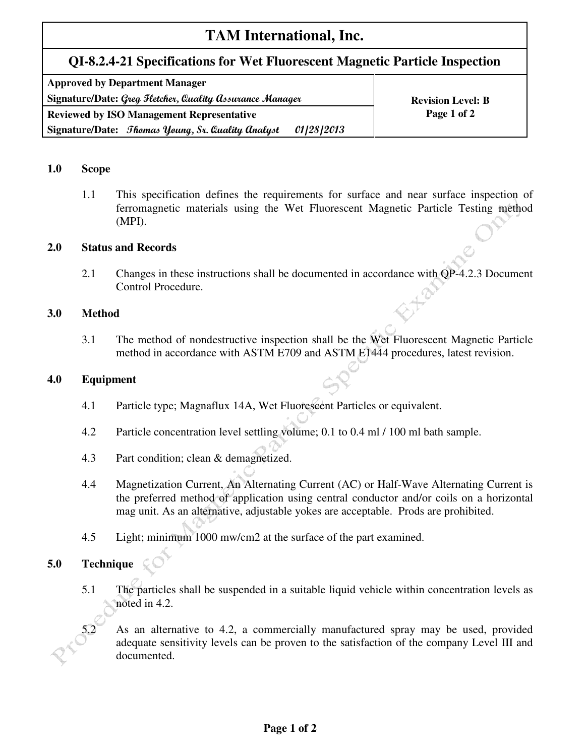# **TAM International, Inc.**

# **QI-8.2.4-21 Specifications for Wet Fluorescent Magnetic Particle Inspection**

| <b>Approved by Department Manager</b>                                         |                          |  |  |  |
|-------------------------------------------------------------------------------|--------------------------|--|--|--|
| Signature/Date: Greg Fletcher, Quality Assurance Manager                      | <b>Revision Level: B</b> |  |  |  |
| <b>Reviewed by ISO Management Representative</b>                              | Page 1 of 2              |  |  |  |
| <i>01 28 2013</i><br>Signature/Date: <i>Thomas Young, Sr. Quality Analyst</i> |                          |  |  |  |

# **1.0 Scope**

1.1 This specification defines the requirements for surface and near surface inspection of ferromagnetic materials using the Wet Fluorescent Magnetic Particle Testing method (MPI).

### **2.0 Status and Records**

2.1 Changes in these instructions shall be documented in accordance with QP-4.2.3 Document Control Procedure.

### **3.0 Method**

3.1 The method of nondestructive inspection shall be the Wet Fluorescent Magnetic Particle method in accordance with ASTM E709 and ASTM E1444 procedures, latest revision.

#### **4.0 Equipment**

- 4.1 Particle type; Magnaflux 14A, Wet Fluorescent Particles or equivalent.
- 4.2 Particle concentration level settling volume; 0.1 to 0.4 ml / 100 ml bath sample.
- 4.3 Part condition; clean & demagnetized.
- 4.4 Magnetization Current, An Alternating Current (AC) or Half-Wave Alternating Current is the preferred method of application using central conductor and/or coils on a horizontal mag unit. As an alternative, adjustable yokes are acceptable. Prods are prohibited.
- 4.5 Light; minimum 1000 mw/cm2 at the surface of the part examined.

# **5.0 Technique**

5.1 The particles shall be suspended in a suitable liquid vehicle within concentration levels as noted in 4.2.

5.2 As an alternative to 4.2, a commercially manufactured spray may be used, provided adequate sensitivity levels can be proven to the satisfaction of the company Level III and documented.